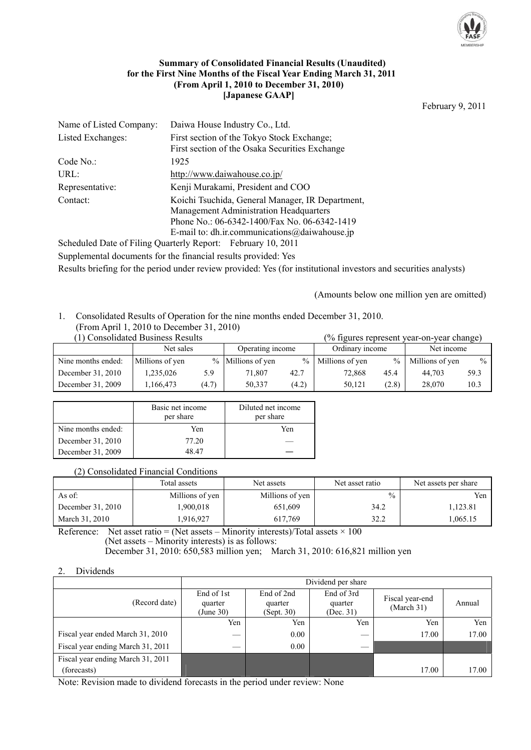

#### **Summary of Consolidated Financial Results (Unaudited) for the First Nine Months of the Fiscal Year Ending March 31, 2011 (From April 1, 2010 to December 31, 2010) [Japanese GAAP]**

February 9, 2011

| Name of Listed Company: | Daiwa House Industry Co., Ltd.                   |
|-------------------------|--------------------------------------------------|
| Listed Exchanges:       | First section of the Tokyo Stock Exchange;       |
|                         | First section of the Osaka Securities Exchange   |
| Code No.                | 1925                                             |
| URL:                    | http://www.daiwahouse.co.jp/                     |
| Representative:         | Kenji Murakami, President and COO                |
| Contact:                | Koichi Tsuchida, General Manager, IR Department, |
|                         | <b>Management Administration Headquarters</b>    |
|                         | Phone No.: 06-6342-1400/Fax No. 06-6342-1419     |
|                         | E-mail to: dh.ir.communications@daiwahouse.jp    |
|                         |                                                  |

Scheduled Date of Filing Quarterly Report: February 10, 2011 Supplemental documents for the financial results provided: Yes Results briefing for the period under review provided: Yes (for institutional investors and securities analysts)

(Amounts below one million yen are omitted)

## 1. Consolidated Results of Operation for the nine months ended December 31, 2010.

# (From April 1, 2010 to December 31, 2010)

| (1) Consolidated Business Results<br>(% figures represent year-on-year change) |                 |       |                   |       |                   |               |                 |               |
|--------------------------------------------------------------------------------|-----------------|-------|-------------------|-------|-------------------|---------------|-----------------|---------------|
|                                                                                | Net sales       |       | Operating income  |       | Ordinary income   |               | Net income      |               |
| Nine months ended:                                                             | Millions of yen |       | % Millions of yen |       | % Millions of yen | $\frac{0}{0}$ | Millions of yen | $\frac{0}{0}$ |
| December 31, 2010                                                              | 1,235,026       | 5.9   | 71.807            | 42.7  | 72.868            | 45.4          | 44.703          | 59.3          |
| December 31, 2009                                                              | 1.166.473       | (4.7) | 50.337            | (4.2) | 50.121            | (2.8)         | 28,070          | 10.3          |

|                    | Basic net income<br>per share | Diluted net income<br>per share |
|--------------------|-------------------------------|---------------------------------|
| Nine months ended: | Yen                           | Yen                             |
| December 31, 2010  | 77.20                         |                                 |
| December 31, 2009  | 48 47                         |                                 |

#### (2) Consolidated Financial Conditions

|                     | Total assets    | Net assets      | Net asset ratio | Net assets per share |
|---------------------|-----------------|-----------------|-----------------|----------------------|
| As of:              | Millions of yen | Millions of yen | $\frac{0}{0}$   | Yen                  |
| December $31, 2010$ | .900,018        | 651.609         | 34.2            | 1.123.81             |
| March 31, 2010      | .916,927        | 617.769         | 32.2            | 1,065.15             |

Reference: Net asset ratio = (Net assets – Minority interests)/Total assets  $\times$  100 (Net assets – Minority interests) is as follows: December 31, 2010: 650,583 million yen; March 31, 2010: 616,821 million yen

#### 2. Dividends

|                                   |                                    | Dividend per share                  |                                    |                               |        |  |  |
|-----------------------------------|------------------------------------|-------------------------------------|------------------------------------|-------------------------------|--------|--|--|
| (Record date)                     | End of 1st<br>quarter<br>(June 30) | End of 2nd<br>quarter<br>(Sept. 30) | End of 3rd<br>quarter<br>(Dec. 31) | Fiscal year-end<br>(March 31) | Annual |  |  |
|                                   | Yen                                | Yen                                 | Yen                                | Yen                           | Yen    |  |  |
| Fiscal year ended March 31, 2010  |                                    | 0.00                                |                                    | 17.00                         | 17.00  |  |  |
| Fiscal year ending March 31, 2011 |                                    | 0.00                                |                                    |                               |        |  |  |
| Fiscal year ending March 31, 2011 |                                    |                                     |                                    |                               |        |  |  |
| (forecasts)                       |                                    |                                     |                                    | 17.00                         | 17.00  |  |  |

Note: Revision made to dividend forecasts in the period under review: None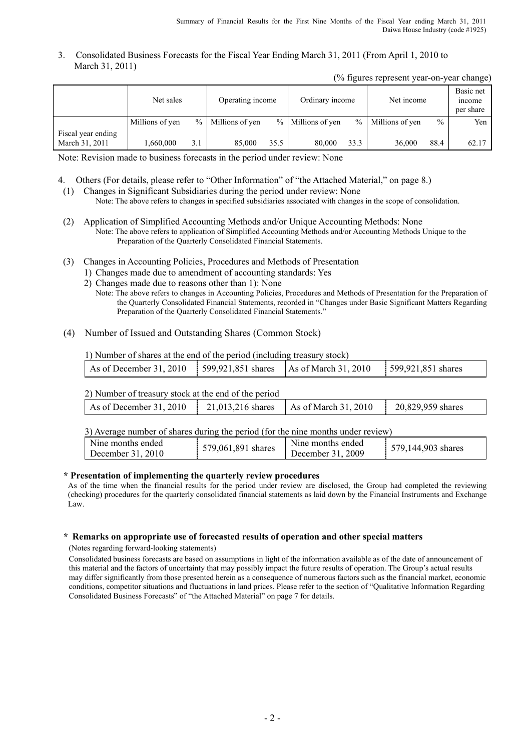#### 3. Consolidated Business Forecasts for the Fiscal Year Ending March 31, 2011 (From April 1, 2010 to March 31, 2011)

(% figures represent year-on-year change)

|                                      | Net sales       |               | Operating income |      | Ordinary income     |        | Net income      |               | Basic net<br>income<br>per share |
|--------------------------------------|-----------------|---------------|------------------|------|---------------------|--------|-----------------|---------------|----------------------------------|
|                                      | Millions of yen | $\frac{0}{0}$ | Millions of yen  |      | $%$ Millions of yen | $\%$ 1 | Millions of yen | $\frac{0}{0}$ | Yen                              |
| Fiscal year ending<br>March 31, 2011 | 1.660.000       | 3.1           | 85,000           | 35.5 | 80,000              | 33.3   | 36,000          | 88.4          | 62.17                            |

Note: Revision made to business forecasts in the period under review: None

- 4. Others (For details, please refer to "Other Information" of "the Attached Material," on page 8.)
- (1) Changes in Significant Subsidiaries during the period under review: None Note: The above refers to changes in specified subsidiaries associated with changes in the scope of consolidation.
- (2) Application of Simplified Accounting Methods and/or Unique Accounting Methods: None Note: The above refers to application of Simplified Accounting Methods and/or Accounting Methods Unique to the Preparation of the Quarterly Consolidated Financial Statements.
- (3) Changes in Accounting Policies, Procedures and Methods of Presentation
	- 1) Changes made due to amendment of accounting standards: Yes
	- 2) Changes made due to reasons other than 1): None
		- Note: The above refers to changes in Accounting Policies, Procedures and Methods of Presentation for the Preparation of the Quarterly Consolidated Financial Statements, recorded in "Changes under Basic Significant Matters Regarding Preparation of the Quarterly Consolidated Financial Statements."
- (4) Number of Issued and Outstanding Shares (Common Stock)

1) Number of shares at the end of the period (including treasury stock)

| As of December 31, 2010   599,921,851 shares   As of March 31, 2010 |  | 599,921,851 shares |
|---------------------------------------------------------------------|--|--------------------|
|                                                                     |  |                    |

2) Number of treasury stock at the end of the period

| As of December 31, 2010<br>As of March 31, 2010<br>20,829,959 shares<br>21,013,216 shares |  |  |  |
|-------------------------------------------------------------------------------------------|--|--|--|
|                                                                                           |  |  |  |

3) Average number of shares during the period (for the nine months under review)

| Nine months ended<br>December 31, 2010 | 579,061,891 shares | Nine months ended<br>December 31, 2009 | 579,144,903 shares |
|----------------------------------------|--------------------|----------------------------------------|--------------------|
|                                        |                    |                                        |                    |

#### **\* Presentation of implementing the quarterly review procedures**

 As of the time when the financial results for the period under review are disclosed, the Group had completed the reviewing (checking) procedures for the quarterly consolidated financial statements as laid down by the Financial Instruments and Exchange Law.

#### **\* Remarks on appropriate use of forecasted results of operation and other special matters**

(Notes regarding forward-looking statements)

Consolidated business forecasts are based on assumptions in light of the information available as of the date of announcement of this material and the factors of uncertainty that may possibly impact the future results of operation. The Group's actual results may differ significantly from those presented herein as a consequence of numerous factors such as the financial market, economic conditions, competitor situations and fluctuations in land prices. Please refer to the section of "Qualitative Information Regarding Consolidated Business Forecasts" of "the Attached Material" on page 7 for details.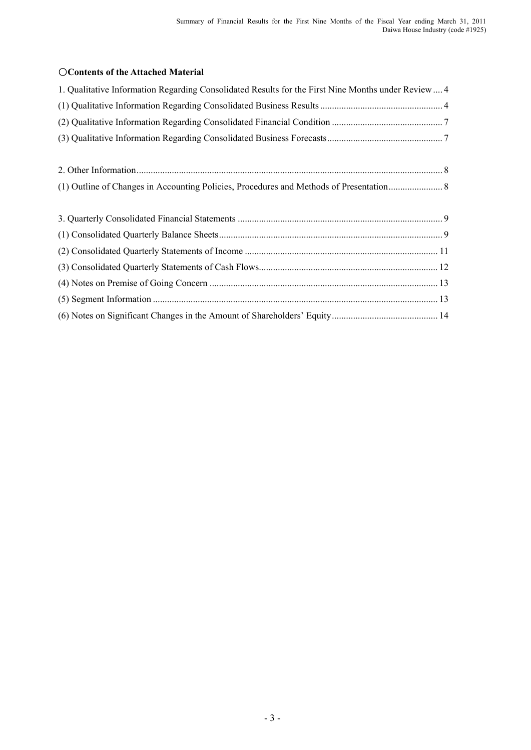## ○**Contents of the Attached Material**

| 1. Qualitative Information Regarding Consolidated Results for the First Nine Months under Review  4 |
|-----------------------------------------------------------------------------------------------------|
|                                                                                                     |
|                                                                                                     |
|                                                                                                     |
|                                                                                                     |
|                                                                                                     |
|                                                                                                     |
|                                                                                                     |
|                                                                                                     |
|                                                                                                     |
|                                                                                                     |
|                                                                                                     |
|                                                                                                     |
|                                                                                                     |
|                                                                                                     |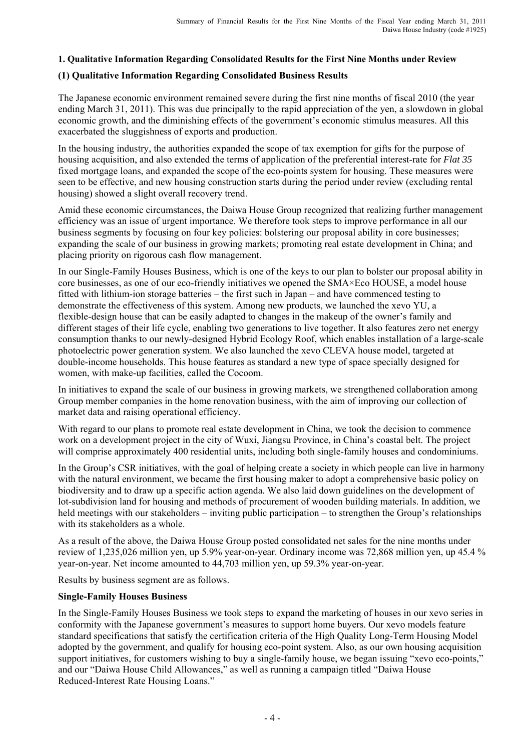## **1. Qualitative Information Regarding Consolidated Results for the First Nine Months under Review**

## **(1) Qualitative Information Regarding Consolidated Business Results**

The Japanese economic environment remained severe during the first nine months of fiscal 2010 (the year ending March 31, 2011). This was due principally to the rapid appreciation of the yen, a slowdown in global economic growth, and the diminishing effects of the government's economic stimulus measures. All this exacerbated the sluggishness of exports and production.

In the housing industry, the authorities expanded the scope of tax exemption for gifts for the purpose of housing acquisition, and also extended the terms of application of the preferential interest-rate for *Flat 35* fixed mortgage loans, and expanded the scope of the eco-points system for housing. These measures were seen to be effective, and new housing construction starts during the period under review (excluding rental housing) showed a slight overall recovery trend.

Amid these economic circumstances, the Daiwa House Group recognized that realizing further management efficiency was an issue of urgent importance. We therefore took steps to improve performance in all our business segments by focusing on four key policies: bolstering our proposal ability in core businesses; expanding the scale of our business in growing markets; promoting real estate development in China; and placing priority on rigorous cash flow management.

In our Single-Family Houses Business, which is one of the keys to our plan to bolster our proposal ability in core businesses, as one of our eco-friendly initiatives we opened the SMA×Eco HOUSE, a model house fitted with lithium-ion storage batteries – the first such in Japan – and have commenced testing to demonstrate the effectiveness of this system. Among new products, we launched the xevo YU, a flexible-design house that can be easily adapted to changes in the makeup of the owner's family and different stages of their life cycle, enabling two generations to live together. It also features zero net energy consumption thanks to our newly-designed Hybrid Ecology Roof, which enables installation of a large-scale photoelectric power generation system. We also launched the xevo CLEVA house model, targeted at double-income households. This house features as standard a new type of space specially designed for women, with make-up facilities, called the Cocoom.

In initiatives to expand the scale of our business in growing markets, we strengthened collaboration among Group member companies in the home renovation business, with the aim of improving our collection of market data and raising operational efficiency.

With regard to our plans to promote real estate development in China, we took the decision to commence work on a development project in the city of Wuxi, Jiangsu Province, in China's coastal belt. The project will comprise approximately 400 residential units, including both single-family houses and condominiums.

In the Group's CSR initiatives, with the goal of helping create a society in which people can live in harmony with the natural environment, we became the first housing maker to adopt a comprehensive basic policy on biodiversity and to draw up a specific action agenda. We also laid down guidelines on the development of lot-subdivision land for housing and methods of procurement of wooden building materials. In addition, we held meetings with our stakeholders – inviting public participation – to strengthen the Group's relationships with its stakeholders as a whole.

As a result of the above, the Daiwa House Group posted consolidated net sales for the nine months under review of 1,235,026 million yen, up 5.9% year-on-year. Ordinary income was 72,868 million yen, up 45.4 % year-on-year. Net income amounted to 44,703 million yen, up 59.3% year-on-year.

Results by business segment are as follows.

## **Single-Family Houses Business**

In the Single-Family Houses Business we took steps to expand the marketing of houses in our xevo series in conformity with the Japanese government's measures to support home buyers. Our xevo models feature standard specifications that satisfy the certification criteria of the High Quality Long-Term Housing Model adopted by the government, and qualify for housing eco-point system. Also, as our own housing acquisition support initiatives, for customers wishing to buy a single-family house, we began issuing "xevo eco-points," and our "Daiwa House Child Allowances," as well as running a campaign titled "Daiwa House Reduced-Interest Rate Housing Loans."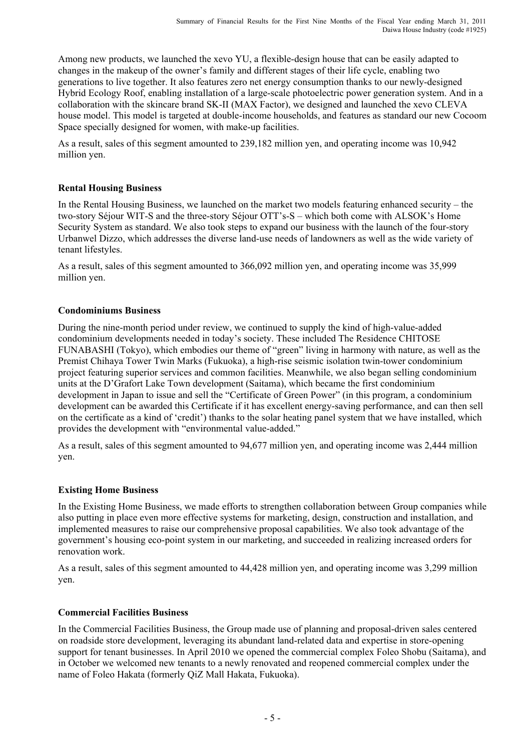Among new products, we launched the xevo YU, a flexible-design house that can be easily adapted to changes in the makeup of the owner's family and different stages of their life cycle, enabling two generations to live together. It also features zero net energy consumption thanks to our newly-designed Hybrid Ecology Roof, enabling installation of a large-scale photoelectric power generation system. And in a collaboration with the skincare brand SK-II (MAX Factor), we designed and launched the xevo CLEVA house model. This model is targeted at double-income households, and features as standard our new Cocoom Space specially designed for women, with make-up facilities.

As a result, sales of this segment amounted to 239,182 million yen, and operating income was 10,942 million yen.

## **Rental Housing Business**

In the Rental Housing Business, we launched on the market two models featuring enhanced security – the two-story Séjour WIT-S and the three-story Séjour OTT's-S – which both come with ALSOK's Home Security System as standard. We also took steps to expand our business with the launch of the four-story Urbanwel Dizzo, which addresses the diverse land-use needs of landowners as well as the wide variety of tenant lifestyles.

As a result, sales of this segment amounted to 366,092 million yen, and operating income was 35,999 million yen.

## **Condominiums Business**

During the nine-month period under review, we continued to supply the kind of high-value-added condominium developments needed in today's society. These included The Residence CHITOSE FUNABASHI (Tokyo), which embodies our theme of "green" living in harmony with nature, as well as the Premist Chihaya Tower Twin Marks (Fukuoka), a high-rise seismic isolation twin-tower condominium project featuring superior services and common facilities. Meanwhile, we also began selling condominium units at the D'Grafort Lake Town development (Saitama), which became the first condominium development in Japan to issue and sell the "Certificate of Green Power" (in this program, a condominium development can be awarded this Certificate if it has excellent energy-saving performance, and can then sell on the certificate as a kind of 'credit') thanks to the solar heating panel system that we have installed, which provides the development with "environmental value-added."

As a result, sales of this segment amounted to 94,677 million yen, and operating income was 2,444 million yen.

## **Existing Home Business**

In the Existing Home Business, we made efforts to strengthen collaboration between Group companies while also putting in place even more effective systems for marketing, design, construction and installation, and implemented measures to raise our comprehensive proposal capabilities. We also took advantage of the government's housing eco-point system in our marketing, and succeeded in realizing increased orders for renovation work.

As a result, sales of this segment amounted to 44,428 million yen, and operating income was 3,299 million yen.

## **Commercial Facilities Business**

In the Commercial Facilities Business, the Group made use of planning and proposal-driven sales centered on roadside store development, leveraging its abundant land-related data and expertise in store-opening support for tenant businesses. In April 2010 we opened the commercial complex Foleo Shobu (Saitama), and in October we welcomed new tenants to a newly renovated and reopened commercial complex under the name of Foleo Hakata (formerly QiZ Mall Hakata, Fukuoka).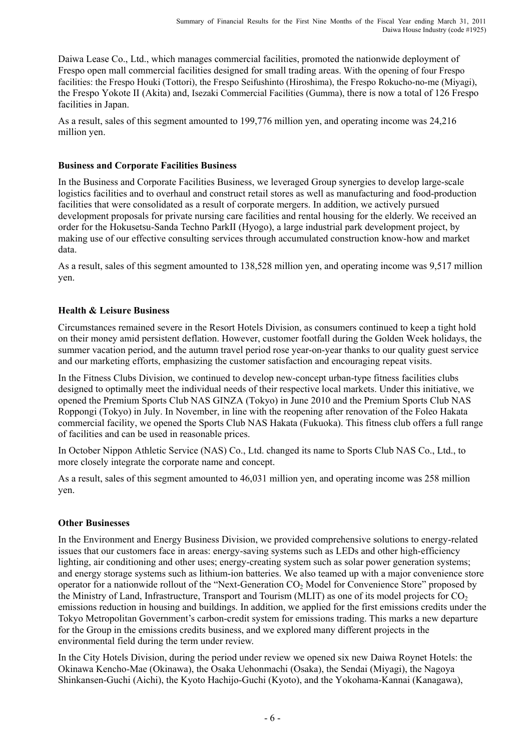Daiwa Lease Co., Ltd., which manages commercial facilities, promoted the nationwide deployment of Frespo open mall commercial facilities designed for small trading areas. With the opening of four Frespo facilities: the Frespo Houki (Tottori), the Frespo Seifushinto (Hiroshima), the Frespo Rokucho-no-me (Miyagi), the Frespo Yokote II (Akita) and, Isezaki Commercial Facilities (Gumma), there is now a total of 126 Frespo facilities in Japan.

As a result, sales of this segment amounted to 199,776 million yen, and operating income was 24,216 million yen.

## **Business and Corporate Facilities Business**

In the Business and Corporate Facilities Business, we leveraged Group synergies to develop large-scale logistics facilities and to overhaul and construct retail stores as well as manufacturing and food-production facilities that were consolidated as a result of corporate mergers. In addition, we actively pursued development proposals for private nursing care facilities and rental housing for the elderly. We received an order for the Hokusetsu-Sanda Techno ParkII (Hyogo), a large industrial park development project, by making use of our effective consulting services through accumulated construction know-how and market data.

As a result, sales of this segment amounted to 138,528 million yen, and operating income was 9,517 million yen.

## **Health & Leisure Business**

Circumstances remained severe in the Resort Hotels Division, as consumers continued to keep a tight hold on their money amid persistent deflation. However, customer footfall during the Golden Week holidays, the summer vacation period, and the autumn travel period rose year-on-year thanks to our quality guest service and our marketing efforts, emphasizing the customer satisfaction and encouraging repeat visits.

In the Fitness Clubs Division, we continued to develop new-concept urban-type fitness facilities clubs designed to optimally meet the individual needs of their respective local markets. Under this initiative, we opened the Premium Sports Club NAS GINZA (Tokyo) in June 2010 and the Premium Sports Club NAS Roppongi (Tokyo) in July. In November, in line with the reopening after renovation of the Foleo Hakata commercial facility, we opened the Sports Club NAS Hakata (Fukuoka). This fitness club offers a full range of facilities and can be used in reasonable prices.

In October Nippon Athletic Service (NAS) Co., Ltd. changed its name to Sports Club NAS Co., Ltd., to more closely integrate the corporate name and concept.

As a result, sales of this segment amounted to 46,031 million yen, and operating income was 258 million yen.

## **Other Businesses**

In the Environment and Energy Business Division, we provided comprehensive solutions to energy-related issues that our customers face in areas: energy-saving systems such as LEDs and other high-efficiency lighting, air conditioning and other uses; energy-creating system such as solar power generation systems; and energy storage systems such as lithium-ion batteries. We also teamed up with a major convenience store operator for a nationwide rollout of the "Next-Generation CO<sub>2</sub> Model for Convenience Store" proposed by the Ministry of Land, Infrastructure, Transport and Tourism (MLIT) as one of its model projects for  $CO<sub>2</sub>$ emissions reduction in housing and buildings. In addition, we applied for the first emissions credits under the Tokyo Metropolitan Government's carbon-credit system for emissions trading. This marks a new departure for the Group in the emissions credits business, and we explored many different projects in the environmental field during the term under review.

In the City Hotels Division, during the period under review we opened six new Daiwa Roynet Hotels: the Okinawa Kencho-Mae (Okinawa), the Osaka Uehonmachi (Osaka), the Sendai (Miyagi), the Nagoya Shinkansen-Guchi (Aichi), the Kyoto Hachijo-Guchi (Kyoto), and the Yokohama-Kannai (Kanagawa),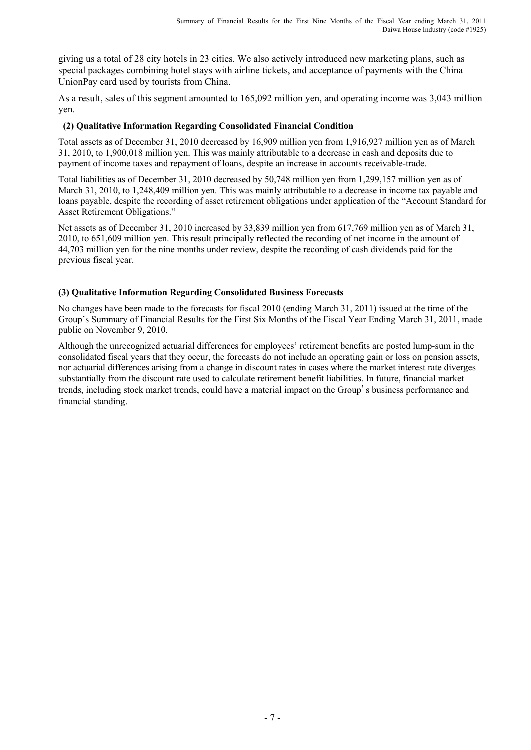giving us a total of 28 city hotels in 23 cities. We also actively introduced new marketing plans, such as special packages combining hotel stays with airline tickets, and acceptance of payments with the China UnionPay card used by tourists from China.

As a result, sales of this segment amounted to 165,092 million yen, and operating income was 3,043 million yen.

## **(2) Qualitative Information Regarding Consolidated Financial Condition**

Total assets as of December 31, 2010 decreased by 16,909 million yen from 1,916,927 million yen as of March 31, 2010, to 1,900,018 million yen. This was mainly attributable to a decrease in cash and deposits due to payment of income taxes and repayment of loans, despite an increase in accounts receivable-trade.

Total liabilities as of December 31, 2010 decreased by 50,748 million yen from 1,299,157 million yen as of March 31, 2010, to 1,248,409 million yen. This was mainly attributable to a decrease in income tax payable and loans payable, despite the recording of asset retirement obligations under application of the "Account Standard for Asset Retirement Obligations."

Net assets as of December 31, 2010 increased by 33,839 million yen from 617,769 million yen as of March 31, 2010, to 651,609 million yen. This result principally reflected the recording of net income in the amount of 44,703 million yen for the nine months under review, despite the recording of cash dividends paid for the previous fiscal year.

## **(3) Qualitative Information Regarding Consolidated Business Forecasts**

No changes have been made to the forecasts for fiscal 2010 (ending March 31, 2011) issued at the time of the Group's Summary of Financial Results for the First Six Months of the Fiscal Year Ending March 31, 2011, made public on November 9, 2010.

Although the unrecognized actuarial differences for employees' retirement benefits are posted lump-sum in the consolidated fiscal years that they occur, the forecasts do not include an operating gain or loss on pension assets, nor actuarial differences arising from a change in discount rates in cases where the market interest rate diverges substantially from the discount rate used to calculate retirement benefit liabilities. In future, financial market trends, including stock market trends, could have a material impact on the Group's business performance and financial standing.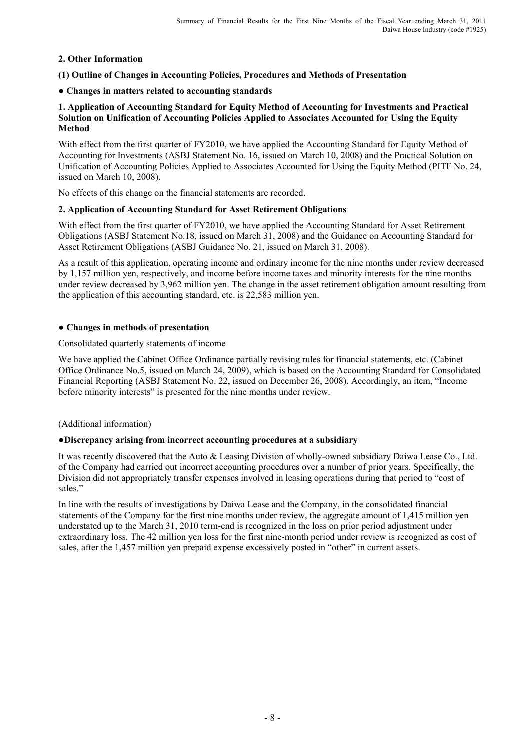## **2. Other Information**

## **(1) Outline of Changes in Accounting Policies, Procedures and Methods of Presentation**

#### ● **Changes in matters related to accounting standards**

#### **1. Application of Accounting Standard for Equity Method of Accounting for Investments and Practical Solution on Unification of Accounting Policies Applied to Associates Accounted for Using the Equity Method**

With effect from the first quarter of FY2010, we have applied the Accounting Standard for Equity Method of Accounting for Investments (ASBJ Statement No. 16, issued on March 10, 2008) and the Practical Solution on Unification of Accounting Policies Applied to Associates Accounted for Using the Equity Method (PITF No. 24, issued on March 10, 2008).

No effects of this change on the financial statements are recorded.

## **2. Application of Accounting Standard for Asset Retirement Obligations**

With effect from the first quarter of FY2010, we have applied the Accounting Standard for Asset Retirement Obligations (ASBJ Statement No.18, issued on March 31, 2008) and the Guidance on Accounting Standard for Asset Retirement Obligations (ASBJ Guidance No. 21, issued on March 31, 2008).

As a result of this application, operating income and ordinary income for the nine months under review decreased by 1,157 million yen, respectively, and income before income taxes and minority interests for the nine months under review decreased by 3,962 million yen. The change in the asset retirement obligation amount resulting from the application of this accounting standard, etc. is 22,583 million yen.

## ● **Changes in methods of presentation**

#### Consolidated quarterly statements of income

We have applied the Cabinet Office Ordinance partially revising rules for financial statements, etc. (Cabinet Office Ordinance No.5, issued on March 24, 2009), which is based on the Accounting Standard for Consolidated Financial Reporting (ASBJ Statement No. 22, issued on December 26, 2008). Accordingly, an item, "Income before minority interests" is presented for the nine months under review.

#### (Additional information)

#### **●Discrepancy arising from incorrect accounting procedures at a subsidiary**

It was recently discovered that the Auto & Leasing Division of wholly-owned subsidiary Daiwa Lease Co., Ltd. of the Company had carried out incorrect accounting procedures over a number of prior years. Specifically, the Division did not appropriately transfer expenses involved in leasing operations during that period to "cost of sales."

In line with the results of investigations by Daiwa Lease and the Company, in the consolidated financial statements of the Company for the first nine months under review, the aggregate amount of 1,415 million yen understated up to the March 31, 2010 term-end is recognized in the loss on prior period adjustment under extraordinary loss. The 42 million yen loss for the first nine-month period under review is recognized as cost of sales, after the 1,457 million yen prepaid expense excessively posted in "other" in current assets.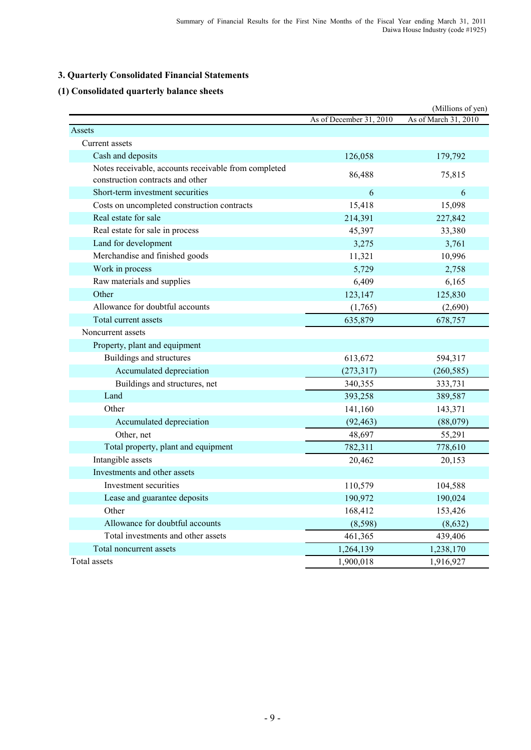## **3. Quarterly Consolidated Financial Statements**

## **(1) Consolidated quarterly balance sheets**

|                                                                                          |                         | (Millions of yen)    |
|------------------------------------------------------------------------------------------|-------------------------|----------------------|
|                                                                                          | As of December 31, 2010 | As of March 31, 2010 |
| Assets                                                                                   |                         |                      |
| Current assets                                                                           |                         |                      |
| Cash and deposits                                                                        | 126,058                 | 179,792              |
| Notes receivable, accounts receivable from completed<br>construction contracts and other | 86,488                  | 75,815               |
| Short-term investment securities                                                         | 6                       | 6                    |
| Costs on uncompleted construction contracts                                              | 15,418                  | 15,098               |
| Real estate for sale                                                                     | 214,391                 | 227,842              |
| Real estate for sale in process                                                          | 45,397                  | 33,380               |
| Land for development                                                                     | 3,275                   | 3,761                |
| Merchandise and finished goods                                                           | 11,321                  | 10,996               |
| Work in process                                                                          | 5,729                   | 2,758                |
| Raw materials and supplies                                                               | 6,409                   | 6,165                |
| Other                                                                                    | 123,147                 | 125,830              |
| Allowance for doubtful accounts                                                          | (1,765)                 | (2,690)              |
| Total current assets                                                                     | 635,879                 | 678,757              |
| Noncurrent assets                                                                        |                         |                      |
| Property, plant and equipment                                                            |                         |                      |
| Buildings and structures                                                                 | 613,672                 | 594,317              |
| Accumulated depreciation                                                                 | (273, 317)              | (260, 585)           |
| Buildings and structures, net                                                            | 340,355                 | 333,731              |
| Land                                                                                     | 393,258                 | 389,587              |
| Other                                                                                    | 141,160                 | 143,371              |
| Accumulated depreciation                                                                 | (92, 463)               | (88,079)             |
| Other, net                                                                               | 48,697                  | 55,291               |
| Total property, plant and equipment                                                      | 782,311                 | 778,610              |
| Intangible assets                                                                        | 20,462                  | 20,153               |
| Investments and other assets                                                             |                         |                      |
| Investment securities                                                                    | 110,579                 | 104,588              |
| Lease and guarantee deposits                                                             | 190,972                 | 190,024              |
| Other                                                                                    | 168,412                 | 153,426              |
| Allowance for doubtful accounts                                                          | (8, 598)                | (8,632)              |
| Total investments and other assets                                                       | 461,365                 | 439,406              |
| Total noncurrent assets                                                                  | 1,264,139               | 1,238,170            |
| Total assets                                                                             | 1,900,018               | 1,916,927            |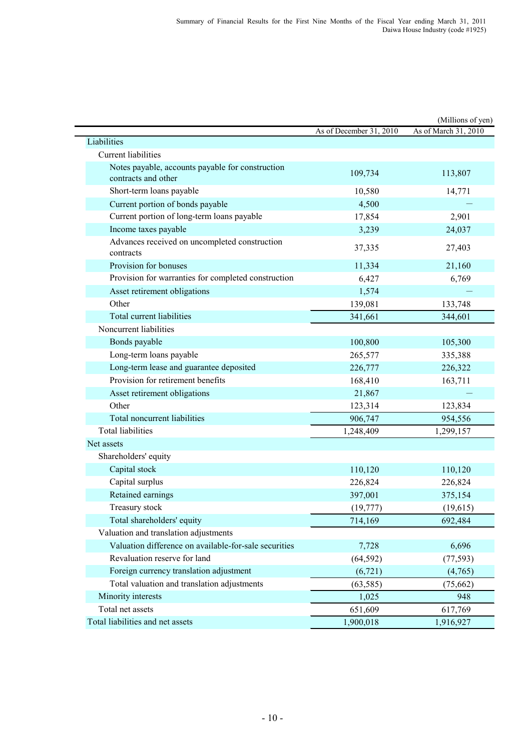|                                                                         |                         | (Millions of yen)    |
|-------------------------------------------------------------------------|-------------------------|----------------------|
|                                                                         | As of December 31, 2010 | As of March 31, 2010 |
| Liabilities                                                             |                         |                      |
| <b>Current liabilities</b>                                              |                         |                      |
| Notes payable, accounts payable for construction<br>contracts and other | 109,734                 | 113,807              |
| Short-term loans payable                                                | 10,580                  | 14,771               |
| Current portion of bonds payable                                        | 4,500                   |                      |
| Current portion of long-term loans payable                              | 17,854                  | 2,901                |
| Income taxes payable                                                    | 3,239                   | 24,037               |
| Advances received on uncompleted construction<br>contracts              | 37,335                  | 27,403               |
| Provision for bonuses                                                   | 11,334                  | 21,160               |
| Provision for warranties for completed construction                     | 6,427                   | 6,769                |
| Asset retirement obligations                                            | 1,574                   |                      |
| Other                                                                   | 139,081                 | 133,748              |
| Total current liabilities                                               | 341,661                 | 344,601              |
| Noncurrent liabilities                                                  |                         |                      |
| Bonds payable                                                           | 100,800                 | 105,300              |
| Long-term loans payable                                                 | 265,577                 | 335,388              |
| Long-term lease and guarantee deposited                                 | 226,777                 | 226,322              |
| Provision for retirement benefits                                       | 168,410                 | 163,711              |
| Asset retirement obligations                                            | 21,867                  |                      |
| Other                                                                   | 123,314                 | 123,834              |
| Total noncurrent liabilities                                            | 906,747                 | 954,556              |
| <b>Total liabilities</b>                                                | 1,248,409               | 1,299,157            |
| Net assets                                                              |                         |                      |
| Shareholders' equity                                                    |                         |                      |
| Capital stock                                                           | 110,120                 | 110,120              |
| Capital surplus                                                         | 226,824                 | 226,824              |
| Retained earnings                                                       | 397,001                 | 375,154              |
| Treasury stock                                                          | (19, 777)               | (19, 615)            |
| Total shareholders' equity                                              | 714,169                 | 692,484              |
| Valuation and translation adjustments                                   |                         |                      |
| Valuation difference on available-for-sale securities                   | 7,728                   | 6,696                |
| Revaluation reserve for land                                            | (64, 592)               | (77, 593)            |
| Foreign currency translation adjustment                                 | (6, 721)                | (4,765)              |
| Total valuation and translation adjustments                             | (63, 585)               | (75,662)             |
| Minority interests                                                      | 1,025                   | 948                  |
| Total net assets                                                        | 651,609                 | 617,769              |
| Total liabilities and net assets                                        | 1,900,018               | 1,916,927            |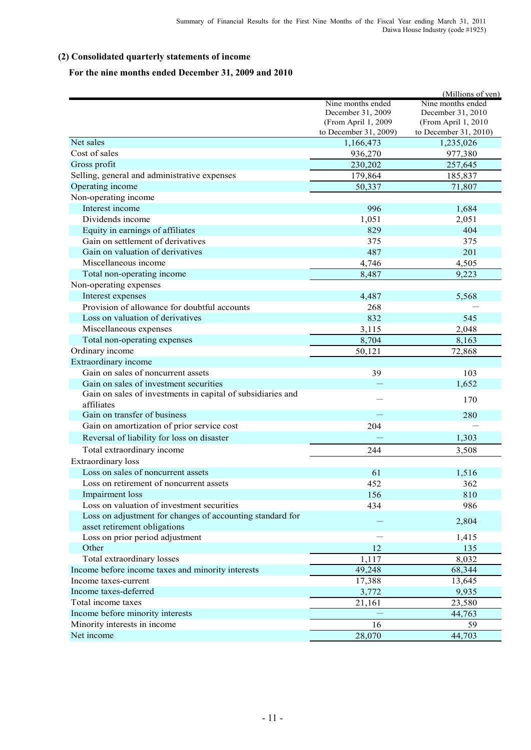## **(2) Consolidated quarterly statements of income**

## **For the nine months ended December 31, 2009 and 2010**

|                                                             |                       | (Millions of yen)     |
|-------------------------------------------------------------|-----------------------|-----------------------|
|                                                             | Nine months ended     | Nine months ended     |
|                                                             | December 31, 2009     | December 31, 2010     |
|                                                             | (From April 1, 2009   | (From April 1, 2010   |
|                                                             | to December 31, 2009) | to December 31, 2010) |
| Net sales                                                   | 1,166,473             | 1,235,026             |
| Cost of sales                                               | 936,270               | 977,380               |
| Gross profit                                                | 230,202               | 257,645               |
| Selling, general and administrative expenses                | 179,864               | 185,837               |
| Operating income                                            | 50,337                | 71,807                |
| Non-operating income                                        |                       |                       |
| Interest income                                             | 996                   | 1,684                 |
| Dividends income                                            | 1,051                 | 2,051                 |
| Equity in earnings of affiliates                            | 829                   | 404                   |
| Gain on settlement of derivatives                           | 375                   | 375                   |
| Gain on valuation of derivatives                            | 487                   | 201                   |
| Miscellaneous income                                        | 4,746                 | 4,505                 |
| Total non-operating income                                  | 8,487                 | 9,223                 |
| Non-operating expenses                                      |                       |                       |
| Interest expenses                                           | 4,487                 | 5,568                 |
| Provision of allowance for doubtful accounts                | 268                   |                       |
| Loss on valuation of derivatives                            | 832                   | 545                   |
| Miscellaneous expenses                                      | 3,115                 | 2,048                 |
| Total non-operating expenses                                | 8,704                 | 8,163                 |
| Ordinary income                                             | 50,121                | 72,868                |
| Extraordinary income                                        |                       |                       |
| Gain on sales of noncurrent assets                          | 39                    | 103                   |
| Gain on sales of investment securities                      |                       | 1,652                 |
| Gain on sales of investments in capital of subsidiaries and |                       |                       |
| affiliates                                                  |                       | 170                   |
| Gain on transfer of business                                |                       | 280                   |
| Gain on amortization of prior service cost                  | 204                   |                       |
| Reversal of liability for loss on disaster                  |                       | 1,303                 |
| Total extraordinary income                                  | 244                   |                       |
|                                                             |                       | 3,508                 |
| Extraordinary loss<br>Loss on sales of noncurrent assets    |                       |                       |
|                                                             | 61                    | 1,516                 |
| Loss on retirement of noncurrent assets                     | 452                   | 362                   |
| Impairment loss                                             | 156                   | 810                   |
| Loss on valuation of investment securities                  | 434                   | 986                   |
| Loss on adjustment for changes of accounting standard for   |                       | 2,804                 |
| asset retirement obligations                                |                       |                       |
| Loss on prior period adjustment                             |                       | 1,415                 |
| Other                                                       | 12                    | 135                   |
| Total extraordinary losses                                  | 1,117                 | 8,032                 |
| Income before income taxes and minority interests           | 49,248                | 68,344                |
| Income taxes-current                                        | 17,388                | 13,645                |
| Income taxes-deferred                                       | 3,772                 | 9,935                 |
| Total income taxes                                          | 21,161                | 23,580                |
| Income before minority interests                            |                       | 44,763                |
| Minority interests in income                                | 16                    | 59                    |
| Net income                                                  | 28,070                | 44,703                |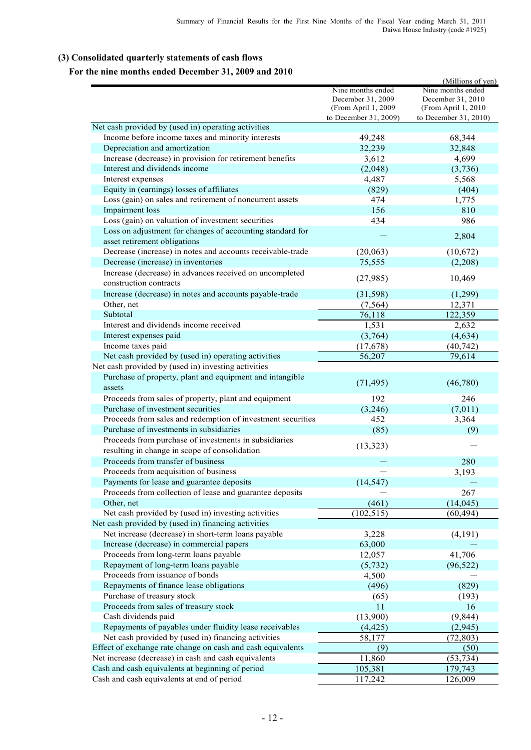## **(3) Consolidated quarterly statements of cash flows**

## **For the nine months ended December 31, 2009 and 2010**

|                                                             |                       | (Millions of yen)     |
|-------------------------------------------------------------|-----------------------|-----------------------|
|                                                             | Nine months ended     | Nine months ended     |
|                                                             | December 31, 2009     | December 31, 2010     |
|                                                             | (From April 1, 2009   | (From April 1, 2010   |
|                                                             | to December 31, 2009) | to December 31, 2010) |
| Net cash provided by (used in) operating activities         |                       |                       |
| Income before income taxes and minority interests           | 49,248                | 68,344                |
| Depreciation and amortization                               | 32,239                | 32,848                |
| Increase (decrease) in provision for retirement benefits    | 3,612                 | 4,699                 |
| Interest and dividends income                               | (2,048)               | (3,736)               |
| Interest expenses                                           | 4,487                 | 5,568                 |
| Equity in (earnings) losses of affiliates                   | (829)                 | (404)                 |
| Loss (gain) on sales and retirement of noncurrent assets    | 474                   | 1,775                 |
| Impairment loss                                             | 156                   | 810                   |
| Loss (gain) on valuation of investment securities           | 434                   | 986                   |
| Loss on adjustment for changes of accounting standard for   |                       |                       |
| asset retirement obligations                                |                       | 2,804                 |
| Decrease (increase) in notes and accounts receivable-trade  | (20,063)              | (10,672)              |
| Decrease (increase) in inventories                          | 75,555                | (2,208)               |
| Increase (decrease) in advances received on uncompleted     |                       |                       |
| construction contracts                                      | (27, 985)             | 10,469                |
| Increase (decrease) in notes and accounts payable-trade     | (31,598)              | (1,299)               |
| Other, net                                                  | (7, 564)              | 12,371                |
| Subtotal                                                    | 76,118                | 122,359               |
| Interest and dividends income received                      | 1,531                 | 2,632                 |
|                                                             |                       |                       |
| Interest expenses paid                                      | (3,764)               | (4, 634)              |
| Income taxes paid                                           | (17, 678)             | (40, 742)             |
| Net cash provided by (used in) operating activities         | 56,207                | 79,614                |
| Net cash provided by (used in) investing activities         |                       |                       |
| Purchase of property, plant and equipment and intangible    | (71, 495)             | (46,780)              |
| assets                                                      |                       |                       |
| Proceeds from sales of property, plant and equipment        | 192                   | 246                   |
| Purchase of investment securities                           | (3,246)               | (7,011)               |
| Proceeds from sales and redemption of investment securities | 452                   | 3,364                 |
| Purchase of investments in subsidiaries                     | (85)                  | (9)                   |
| Proceeds from purchase of investments in subsidiaries       | (13, 323)             |                       |
| resulting in change in scope of consolidation               |                       |                       |
| Proceeds from transfer of business                          |                       | 280                   |
| Proceeds from acquisition of business                       |                       | 3,193                 |
| Payments for lease and guarantee deposits                   | (14, 547)             |                       |
| Proceeds from collection of lease and guarantee deposits    |                       | 267                   |
| Other, net                                                  | (461)                 | (14, 045)             |
| Net cash provided by (used in) investing activities         | (102, 515)            | (60, 494)             |
| Net cash provided by (used in) financing activities         |                       |                       |
| Net increase (decrease) in short-term loans payable         | 3,228                 | (4,191)               |
| Increase (decrease) in commercial papers                    | 63,000                |                       |
| Proceeds from long-term loans payable                       | 12,057                | 41,706                |
| Repayment of long-term loans payable                        | (5, 732)              | (96, 522)             |
| Proceeds from issuance of bonds                             | 4,500                 |                       |
| Repayments of finance lease obligations                     | (496)                 | (829)                 |
| Purchase of treasury stock                                  |                       |                       |
| Proceeds from sales of treasury stock                       | (65)<br>11            | (193)<br>16           |
|                                                             |                       |                       |
| Cash dividends paid                                         | (13,900)              | (9, 844)              |
| Repayments of payables under fluidity lease receivables     | (4, 425)              | (2,945)               |
| Net cash provided by (used in) financing activities         | 58,177                | (72, 803)             |
| Effect of exchange rate change on cash and cash equivalents | (9)                   | (50)                  |
| Net increase (decrease) in cash and cash equivalents        | 11,860                | $\sqrt{53,734}$       |
| Cash and cash equivalents at beginning of period            | 105,381               | 179,743               |
| Cash and cash equivalents at end of period                  | 117,242               | 126,009               |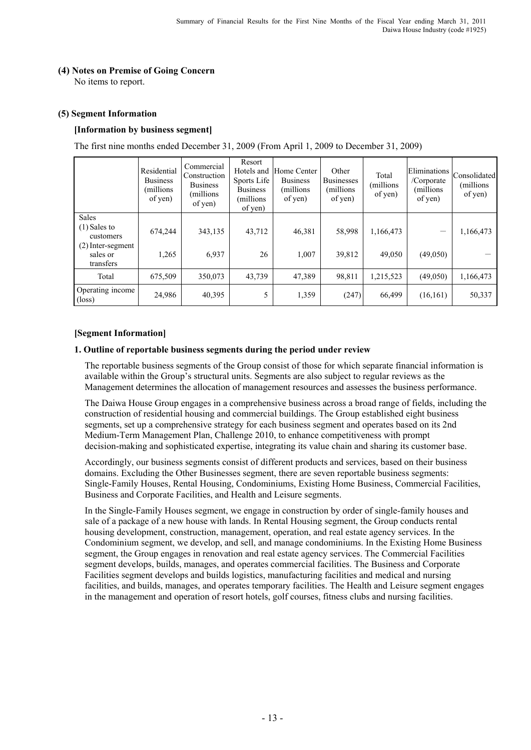## **(4) Notes on Premise of Going Concern**

No items to report.

#### **(5) Segment Information**

#### **[Information by business segment]**

The first nine months ended December 31, 2009 (From April 1, 2009 to December 31, 2009)

|                                              | Residential<br><b>Business</b><br>(millions<br>of yen) | Commercial<br>Construction<br><b>Business</b><br>(millions)<br>of yen) | Resort<br>Hotels and<br>Sports Life<br><b>Business</b><br>(millions)<br>of yen) | Home Center<br><b>Business</b><br>(millions)<br>of yen) | Other<br><b>Businesses</b><br>(millions)<br>of yen) | Total<br>millions)<br>of yen) | Eliminations<br>/Corporate<br>(millions)<br>of yen) | Consolidated<br>(millions)<br>of yen) |
|----------------------------------------------|--------------------------------------------------------|------------------------------------------------------------------------|---------------------------------------------------------------------------------|---------------------------------------------------------|-----------------------------------------------------|-------------------------------|-----------------------------------------------------|---------------------------------------|
| <b>Sales</b><br>$(1)$ Sales to<br>customers  | 674,244                                                | 343,135                                                                | 43,712                                                                          | 46,381                                                  | 58,998                                              | 1,166,473                     |                                                     | 1,166,473                             |
| $(2)$ Inter-segment<br>sales or<br>transfers | 1,265                                                  | 6,937                                                                  | 26                                                                              | 1,007                                                   | 39,812                                              | 49,050                        | (49,050)                                            |                                       |
| Total                                        | 675,509                                                | 350,073                                                                | 43,739                                                                          | 47,389                                                  | 98,811                                              | 1,215,523                     | (49,050)                                            | 1,166,473                             |
| Operating income<br>$(\text{loss})$          | 24,986                                                 | 40,395                                                                 | 5                                                                               | 1,359                                                   | (247)                                               | 66,499                        | (16, 161)                                           | 50,337                                |

#### **[Segment Information]**

#### **1. Outline of reportable business segments during the period under review**

 The reportable business segments of the Group consist of those for which separate financial information is available within the Group's structural units. Segments are also subject to regular reviews as the Management determines the allocation of management resources and assesses the business performance.

 The Daiwa House Group engages in a comprehensive business across a broad range of fields, including the construction of residential housing and commercial buildings. The Group established eight business segments, set up a comprehensive strategy for each business segment and operates based on its 2nd Medium-Term Management Plan, Challenge 2010, to enhance competitiveness with prompt decision-making and sophisticated expertise, integrating its value chain and sharing its customer base.

 Accordingly, our business segments consist of different products and services, based on their business domains. Excluding the Other Businesses segment, there are seven reportable business segments: Single-Family Houses, Rental Housing, Condominiums, Existing Home Business, Commercial Facilities, Business and Corporate Facilities, and Health and Leisure segments.

 In the Single-Family Houses segment, we engage in construction by order of single-family houses and sale of a package of a new house with lands. In Rental Housing segment, the Group conducts rental housing development, construction, management, operation, and real estate agency services. In the Condominium segment, we develop, and sell, and manage condominiums. In the Existing Home Business segment, the Group engages in renovation and real estate agency services. The Commercial Facilities segment develops, builds, manages, and operates commercial facilities. The Business and Corporate Facilities segment develops and builds logistics, manufacturing facilities and medical and nursing facilities, and builds, manages, and operates temporary facilities. The Health and Leisure segment engages in the management and operation of resort hotels, golf courses, fitness clubs and nursing facilities.